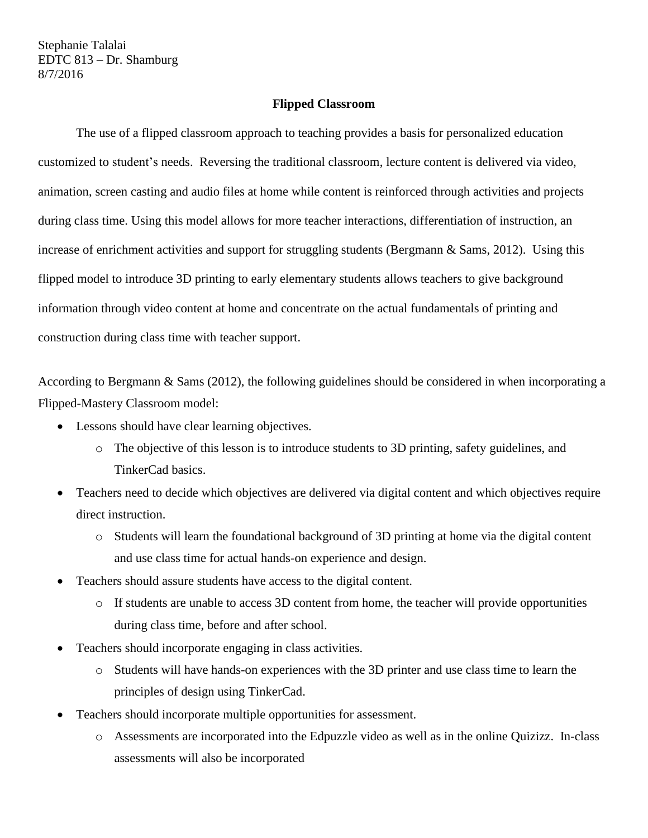Stephanie Talalai EDTC 813 – Dr. Shamburg 8/7/2016

## **Flipped Classroom**

The use of a flipped classroom approach to teaching provides a basis for personalized education customized to student's needs. Reversing the traditional classroom, lecture content is delivered via video, animation, screen casting and audio files at home while content is reinforced through activities and projects during class time. Using this model allows for more teacher interactions, differentiation of instruction, an increase of enrichment activities and support for struggling students (Bergmann & Sams, 2012). Using this flipped model to introduce 3D printing to early elementary students allows teachers to give background information through video content at home and concentrate on the actual fundamentals of printing and construction during class time with teacher support.

According to Bergmann & Sams (2012), the following guidelines should be considered in when incorporating a Flipped-Mastery Classroom model:

- Lessons should have clear learning objectives.
	- o The objective of this lesson is to introduce students to 3D printing, safety guidelines, and TinkerCad basics.
- Teachers need to decide which objectives are delivered via digital content and which objectives require direct instruction.
	- o Students will learn the foundational background of 3D printing at home via the digital content and use class time for actual hands-on experience and design.
- Teachers should assure students have access to the digital content.
	- o If students are unable to access 3D content from home, the teacher will provide opportunities during class time, before and after school.
- Teachers should incorporate engaging in class activities.
	- o Students will have hands-on experiences with the 3D printer and use class time to learn the principles of design using TinkerCad.
- Teachers should incorporate multiple opportunities for assessment.
	- o Assessments are incorporated into the Edpuzzle video as well as in the online Quizizz. In-class assessments will also be incorporated